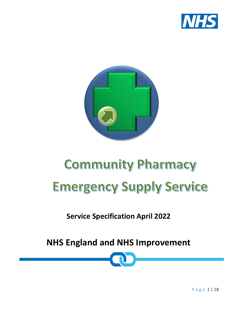



# **Community Pharmacy Emergency Supply Service**

**Service Specification April 2022**

**NHS England and NHS Improvement**

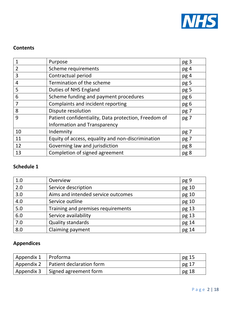

# **Contents**

|                | Purpose                                              | pg <sub>3</sub> |
|----------------|------------------------------------------------------|-----------------|
| $\overline{2}$ | Scheme requirements                                  | pg 4            |
| 3              | Contractual period                                   | pg 4            |
| 4              | Termination of the scheme                            | pg 5            |
| 5              | Duties of NHS England                                | pg 5            |
| 6              | Scheme funding and payment procedures                | pg 6            |
| 7              | Complaints and incident reporting                    | pg 6            |
| 8              | Dispute resolution                                   | pg 7            |
| 9              | Patient confidentiality, Data protection, Freedom of | pg 7            |
|                | Information and Transparency                         |                 |
| 10             | Indemnity                                            | pg 7            |
| 11             | Equity of access, equality and non-discrimination    | pg 7            |
| 12             | Governing law and jurisdiction                       | pg 8            |
| 13             | Completion of signed agreement                       | pg 8            |

# **Schedule 1**

| 1.0   | Overview                           | pg 9  |
|-------|------------------------------------|-------|
| 2.0   | Service description                | pg 10 |
| 3.0   | Aims and intended service outcomes | pg 10 |
| 4.0   | Service outline                    | pg 10 |
| $5.0$ | Training and premises requirements | pg 13 |
| 6.0   | Service availability               | pg 13 |
| 7.0   | <b>Quality standards</b>           | pg 14 |
| 8.0   | Claiming payment                   | pg 14 |

# **Appendices**

| Appendix 1   Proforma |                                       | pg 15   |
|-----------------------|---------------------------------------|---------|
|                       | Appendix 2   Patient declaration form | pg $17$ |
| Appendix 3            | Signed agreement form                 | pg $18$ |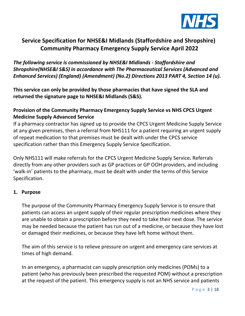

# **Service Specification for NHSE&I Midlands (Staffordshire and Shropshire) Community Pharmacy Emergency Supply Service April 2022**

*The following service is commissioned by NHSE&I Midlands - Staffordshire and Shropshire(NHSE&I S&S) in accordance with The Pharmaceutical Services (Advanced and Enhanced Services) (England) (Amendment) (No.2) Directions 2013 PART 4, Section 14 (u).*

**This service can only be provided by those pharmacies that have signed the SLA and returned the signature page to NHSE&I Midlands (S&S).**

# **Provision of the Community Pharmacy Emergency Supply Service vs NHS CPCS Urgent Medicine Supply Advanced Service**

If a pharmacy contractor has signed up to provide the CPCS Urgent Medicine Supply Service at any given premises, then a referral from NHS111 for a patient requiring an urgent supply of repeat medication to that premises must be dealt with under the CPCS service specification rather than this Emergency Supply Service Specification.

Only NHS111 will make referrals for the CPCS Urgent Medicine Supply Service**.** Referrals directly from any other providers such as GP practices or GP OOH providers, and including 'walk-in' patients to the pharmacy, must be dealt with under the terms of this Service Specification.

#### **1. Purpose**

The purpose of the Community Pharmacy Emergency Supply Service is to ensure that patients can access an urgent supply of their regular prescription medicines where they are unable to obtain a prescription before they need to take their next dose. The service may be needed because the patient has run out of a medicine, or because they have lost or damaged their medicines, or because they have left home without them.

The aim of this service is to relieve pressure on urgent and emergency care services at times of high demand.

In an emergency, a pharmacist can supply prescription only medicines (POMs) to a patient (who has previously been prescribed the requested POM) without a prescription at the request of the patient. This emergency supply is not an NHS service and patients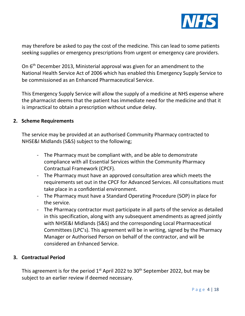

may therefore be asked to pay the cost of the medicine. This can lead to some patients seeking supplies or emergency prescriptions from urgent or emergency care providers.

On 6<sup>th</sup> December 2013, Ministerial approval was given for an amendment to the National Health Service Act of 2006 which has enabled this Emergency Supply Service to be commissioned as an Enhanced Pharmaceutical Service.

This Emergency Supply Service will allow the supply of a medicine at NHS expense where the pharmacist deems that the patient has immediate need for the medicine and that it is impractical to obtain a prescription without undue delay.

#### **2. Scheme Requirements**

The service may be provided at an authorised Community Pharmacy contracted to NHSE&I Midlands (S&S) subject to the following;

- The Pharmacy must be compliant with, and be able to demonstrate compliance with all Essential Services within the Community Pharmacy Contractual Framework (CPCF).
- The Pharmacy must have an approved consultation area which meets the requirements set out in the CPCF for Advanced Services. All consultations must take place in a confidential environment.
- The Pharmacy must have a Standard Operating Procedure (SOP) in place for the service.
- The Pharmacy contractor must participate in all parts of the service as detailed in this specification, along with any subsequent amendments as agreed jointly with NHSE&I Midlands (S&S) and the corresponding Local Pharmaceutical Committees (LPC's). This agreement will be in writing, signed by the Pharmacy Manager or Authorised Person on behalf of the contractor, and will be considered an Enhanced Service.

## **3. Contractual Period**

This agreement is for the period  $1<sup>st</sup>$  April 2022 to 30<sup>th</sup> September 2022, but may be subject to an earlier review if deemed necessary.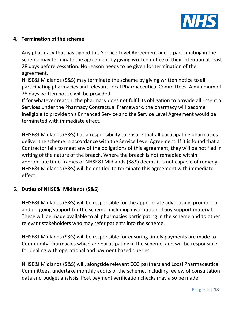

# **4. Termination of the scheme**

Any pharmacy that has signed this Service Level Agreement and is participating in the scheme may terminate the agreement by giving written notice of their intention at least 28 days before cessation. No reason needs to be given for termination of the agreement.

NHSE&I Midlands (S&S) may terminate the scheme by giving written notice to all participating pharmacies and relevant Local Pharmaceutical Committees. A minimum of 28 days written notice will be provided.

If for whatever reason, the pharmacy does not fulfil its obligation to provide all Essential Services under the Pharmacy Contractual Framework, the pharmacy will become ineligible to provide this Enhanced Service and the Service Level Agreement would be terminated with immediate effect.

NHSE&I Midlands (S&S) has a responsibility to ensure that all participating pharmacies deliver the scheme in accordance with the Service Level Agreement. If it is found that a Contractor fails to meet any of the obligations of this agreement, they will be notified in writing of the nature of the breach. Where the breach is not remedied within appropriate time-frames or NHSE&I Midlands (S&S) deems it is not capable of remedy, NHSE&I Midlands (S&S) will be entitled to terminate this agreement with immediate effect.

# **5. Duties of NHSE&I Midlands (S&S)**

NHSE&I Midlands (S&S) will be responsible for the appropriate advertising, promotion and on-going support for the scheme, including distribution of any support material. These will be made available to all pharmacies participating in the scheme and to other relevant stakeholders who may refer patients into the scheme.

NHSE&I Midlands (S&S) will be responsible for ensuring timely payments are made to Community Pharmacies which are participating in the scheme, and will be responsible for dealing with operational and payment based queries.

NHSE&I Midlands (S&S) will, alongside relevant CCG partners and Local Pharmaceutical Committees, undertake monthly audits of the scheme, including review of consultation data and budget analysis. Post payment verification checks may also be made.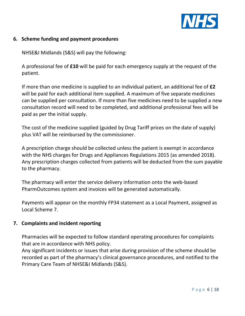

#### **6. Scheme funding and payment procedures**

NHSE&I Midlands (S&S) will pay the following:

A professional fee of **£10** will be paid for each emergency supply at the request of the patient.

If more than one medicine is supplied to an individual patient, an additional fee of **£2** will be paid for each additional item supplied. A maximum of five separate medicines can be supplied per consultation. If more than five medicines need to be supplied a new consultation record will need to be completed, and additional professional fees will be paid as per the initial supply.

The cost of the medicine supplied (guided by Drug Tariff prices on the date of supply) plus VAT will be reimbursed by the commissioner.

A prescription charge should be collected unless the patient is exempt in accordance with the NHS charges for Drugs and Appliances Regulations 2015 (as amended 2018). Any prescription charges collected from patients will be deducted from the sum payable to the pharmacy.

The pharmacy will enter the service delivery information onto the web-based PharmOutcomes system and invoices will be generated automatically.

Payments will appear on the monthly FP34 statement as a Local Payment, assigned as Local Scheme 7.

#### **7. Complaints and incident reporting**

Pharmacies will be expected to follow standard operating procedures for complaints that are in accordance with NHS policy.

Any significant incidents or issues that arise during provision of the scheme should be recorded as part of the pharmacy's clinical governance procedures, and notified to the Primary Care Team of NHSE&I Midlands (S&S).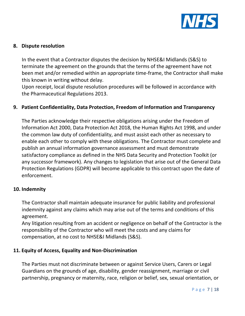

#### **8. Dispute resolution**

In the event that a Contractor disputes the decision by NHSE&I Midlands (S&S) to terminate the agreement on the grounds that the terms of the agreement have not been met and/or remedied within an appropriate time-frame, the Contractor shall make this known in writing without delay.

Upon receipt, local dispute resolution procedures will be followed in accordance with the Pharmaceutical Regulations 2013.

#### **9. Patient Confidentiality, Data Protection, Freedom of Information and Transparency**

The Parties acknowledge their respective obligations arising under the Freedom of Information Act 2000, Data Protection Act 2018, the Human Rights Act 1998, and under the common law duty of confidentiality, and must assist each other as necessary to enable each other to comply with these obligations. The Contractor must complete and publish an annual information governance assessment and must demonstrate satisfactory compliance as defined in the NHS Data Security and Protection Toolkit (or any successor framework). Any changes to legislation that arise out of the General Data Protection Regulations (GDPR) will become applicable to this contract upon the date of enforcement.

#### **10. Indemnity**

The Contractor shall maintain adequate insurance for public liability and professional indemnity against any claims which may arise out of the terms and conditions of this agreement.

Any litigation resulting from an accident or negligence on behalf of the Contractor is the responsibility of the Contractor who will meet the costs and any claims for compensation, at no cost to NHSE&I Midlands (S&S).

## **11. Equity of Access, Equality and Non-Discrimination**

The Parties must not discriminate between or against Service Users, Carers or Legal Guardians on the grounds of age, disability, gender reassignment, marriage or civil partnership, pregnancy or maternity, race, religion or belief, sex, sexual orientation, or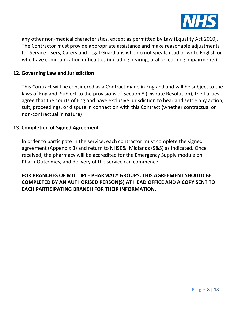

any other non-medical characteristics, except as permitted by Law (Equality Act 2010). The Contractor must provide appropriate assistance and make reasonable adjustments for Service Users, Carers and Legal Guardians who do not speak, read or write English or who have communication difficulties (including hearing, oral or learning impairments).

#### **12. Governing Law and Jurisdiction**

This Contract will be considered as a Contract made in England and will be subject to the laws of England. Subject to the provisions of Section 8 (Dispute Resolution), the Parties agree that the courts of England have exclusive jurisdiction to hear and settle any action, suit, proceedings, or dispute in connection with this Contract (whether contractual or non-contractual in nature)

#### **13. Completion of Signed Agreement**

In order to participate in the service, each contractor must complete the signed agreement (Appendix 3) and return to NHSE&I Midlands (S&S) as indicated. Once received, the pharmacy will be accredited for the Emergency Supply module on PharmOutcomes, and delivery of the service can commence.

**FOR BRANCHES OF MULTIPLE PHARMACY GROUPS, THIS AGREEMENT SHOULD BE COMPLETED BY AN AUTHORISED PERSON(S) AT HEAD OFFICE AND A COPY SENT TO EACH PARTICIPATING BRANCH FOR THEIR INFORMATION.**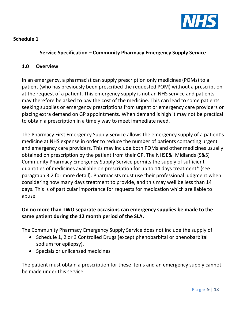

# **Schedule 1**

# **Service Specification – Community Pharmacy Emergency Supply Service**

#### **1.0 Overview**

In an emergency, a pharmacist can supply prescription only medicines (POMs) to a patient (who has previously been prescribed the requested POM) without a prescription at the request of a patient. This emergency supply is not an NHS service and patients may therefore be asked to pay the cost of the medicine. This can lead to some patients seeking supplies or emergency prescriptions from urgent or emergency care providers or placing extra demand on GP appointments. When demand is high it may not be practical to obtain a prescription in a timely way to meet immediate need.

The Pharmacy First Emergency Supply Service allows the emergency supply of a patient's medicine at NHS expense in order to reduce the number of patients contacting urgent and emergency care providers. This may include both POMs and other medicines usually obtained on prescription by the patient from their GP. The NHSE&I Midlands (S&S) Community Pharmacy Emergency Supply Service permits the supply of sufficient quantities of medicines available on prescription for up to 14 days treatment\* (see paragraph 3.2 for more detail). Pharmacists must use their professional judgment when considering how many days treatment to provide, and this may well be less than 14 days. This is of particular importance for requests for medication which are liable to abuse.

# **On no more than TWO separate occasions can emergency supplies be made to the same patient during the 12 month period of the SLA.**

The Community Pharmacy Emergency Supply Service does not include the supply of

- Schedule 1, 2 or 3 Controlled Drugs (except phenobarbital or phenobarbital sodium for epilepsy).
- Specials or unlicensed medicines

The patient must obtain a prescription for these items and an emergency supply cannot be made under this service.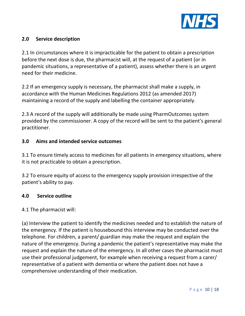

# **2.0 Service description**

2.1 In circumstances where it is impracticable for the patient to obtain a prescription before the next dose is due, the pharmacist will, at the request of a patient (or in pandemic situations, a representative of a patient), assess whether there is an urgent need for their medicine.

2.2 If an emergency supply is necessary, the pharmacist shall make a supply, in accordance with the Human Medicines Regulations 2012 (as amended 2017) maintaining a record of the supply and labelling the container appropriately.

2.3 A record of the supply will additionally be made using PharmOutcomes system provided by the commissioner. A copy of the record will be sent to the patient's general practitioner.

# **3.0 Aims and intended service outcomes**

3.1 To ensure timely access to medicines for all patients in emergency situations, where it is not practicable to obtain a prescription.

3.2 To ensure equity of access to the emergency supply provision irrespective of the patient's ability to pay.

## **4.0 Service outline**

#### 4.1 The pharmacist will:

(a) Interview the patient to identify the medicines needed and to establish the nature of the emergency. If the patient is housebound this interview may be conducted over the telephone. For children, a parent/ guardian may make the request and explain the nature of the emergency. During a pandemic the patient's representative may make the request and explain the nature of the emergency. In all other cases the pharmacist must use their professional judgement, for example when receiving a request from a carer/ representative of a patient with dementia or where the patient does not have a comprehensive understanding of their medication.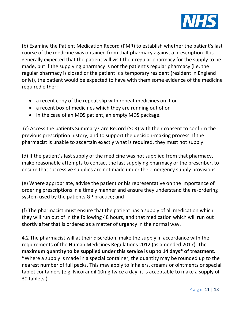

(b) Examine the Patient Medication Record (PMR) to establish whether the patient's last course of the medicine was obtained from that pharmacy against a prescription. It is generally expected that the patient will visit their regular pharmacy for the supply to be made, but if the supplying pharmacy is not the patient's regular pharmacy (i.e. the regular pharmacy is closed or the patient is a temporary resident (resident in England only)), the patient would be expected to have with them some evidence of the medicine required either:

- a recent copy of the repeat slip with repeat medicines on it or
- a recent box of medicines which they are running out of or
- in the case of an MDS patient, an empty MDS package.

(c) Access the patients Summary Care Record (SCR) with their consent to confirm the previous prescription history, and to support the decision-making process. If the pharmacist is unable to ascertain exactly what is required, they must not supply.

(d) If the patient's last supply of the medicine was not supplied from that pharmacy, make reasonable attempts to contact the last supplying pharmacy or the prescriber, to ensure that successive supplies are not made under the emergency supply provisions.

(e) Where appropriate, advise the patient or his representative on the importance of ordering prescriptions in a timely manner and ensure they understand the re-ordering system used by the patients GP practice; and

(f) The pharmacist must ensure that the patient has a supply of all medication which they will run out of in the following 48 hours, and that medication which will run out shortly after that is ordered as a matter of urgency in the normal way.

4.2 The pharmacist will at their discretion, make the supply in accordance with the requirements of the Human Medicines Regulations 2012 (as amended 2017). The **maximum quantity to be supplied under this service is up to 14 days\* of treatment. \***Where a supply is made in a special container, the quantity may be rounded up to the nearest number of full packs. This may apply to inhalers, creams or ointments or special tablet containers (e.g. Nicorandil 10mg twice a day, it is acceptable to make a supply of 30 tablets.)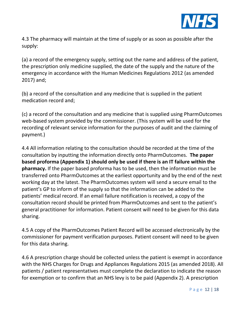

4.3 The pharmacy will maintain at the time of supply or as soon as possible after the supply:

(a) a record of the emergency supply, setting out the name and address of the patient, the prescription only medicine supplied, the date of the supply and the nature of the emergency in accordance with the Human Medicines Regulations 2012 (as amended 2017) and;

(b) a record of the consultation and any medicine that is supplied in the patient medication record and;

(c) a record of the consultation and any medicine that is supplied using PharmOutcomes web-based system provided by the commissioner. (This system will be used for the recording of relevant service information for the purposes of audit and the claiming of payment.)

4.4 All information relating to the consultation should be recorded at the time of the consultation by inputting the information directly onto PharmOutcomes. **The paper based proforma (Appendix 1) should only be used if there is an IT failure within the pharmacy.** If the paper based proforma has to be used, then the information must be transferred onto PharmOutcomes at the earliest opportunity and by the end of the next working day at the latest. The PharmOutcomes system will send a secure email to the patient's GP to inform of the supply so that the information can be added to the patients' medical record. If an email failure notification is received, a copy of the consultation record should be printed from PharmOutcomes and sent to the patient's general practitioner for information. Patient consent will need to be given for this data sharing.

4.5 A copy of the PharmOutcomes Patient Record will be accessed electronically by the commissioner for payment verification purposes. Patient consent will need to be given for this data sharing.

4.6 A prescription charge should be collected unless the patient is exempt in accordance with the NHS Charges for Drugs and Appliances Regulations 2015 (as amended 2018). All patients / patient representatives must complete the declaration to indicate the reason for exemption or to confirm that an NHS levy is to be paid (Appendix 2). A prescription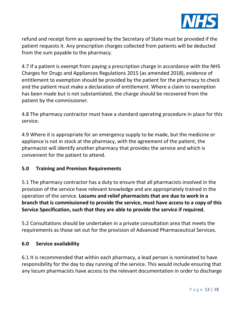

refund and receipt form as approved by the Secretary of State must be provided if the patient requests it. Any prescription charges collected from patients will be deducted from the sum payable to the pharmacy.

4.7 If a patient is exempt from paying a prescription charge in accordance with the NHS Charges for Drugs and Appliances Regulations 2015 (as amended 2018), evidence of entitlement to exemption should be provided by the patient for the pharmacy to check and the patient must make a declaration of entitlement. Where a claim to exemption has been made but is not substantiated, the charge should be recovered from the patient by the commissioner.

4.8 The pharmacy contractor must have a standard operating procedure in place for this service.

4.9 Where it is appropriate for an emergency supply to be made, but the medicine or appliance is not in stock at the pharmacy, with the agreement of the patient, the pharmacist will identify another pharmacy that provides the service and which is convenient for the patient to attend.

## **5.0 Training and Premises Requirements**

5.1 The pharmacy contractor has a duty to ensure that all pharmacists involved in the provision of the service have relevant knowledge and are appropriately trained in the operation of the service. **Locums and relief pharmacists that are due to work in a branch that is commissioned to provide the service, must have access to a copy of this Service Specification, such that they are able to provide the service if required.**

5.2 Consultations should be undertaken in a private consultation area that meets the requirements as those set out for the provision of Advanced Pharmaceutical Services.

## **6.0 Service availability**

6.1 It is recommended that within each pharmacy, a lead person is nominated to have responsibility for the day to day running of the service. This would include ensuring that any locum pharmacists have access to the relevant documentation in order to discharge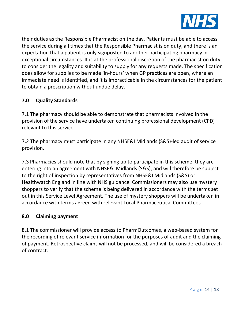

their duties as the Responsible Pharmacist on the day. Patients must be able to access the service during all times that the Responsible Pharmacist is on duty, and there is an expectation that a patient is only signposted to another participating pharmacy in exceptional circumstances. It is at the professional discretion of the pharmacist on duty to consider the legality and suitability to supply for any requests made. The specification does allow for supplies to be made 'in-hours' when GP practices are open, where an immediate need is identified, and it is impracticable in the circumstances for the patient to obtain a prescription without undue delay.

# **7.0 Quality Standards**

7.1 The pharmacy should be able to demonstrate that pharmacists involved in the provision of the service have undertaken continuing professional development (CPD) relevant to this service.

7.2 The pharmacy must participate in any NHSE&I Midlands (S&S)-led audit of service provision.

7.3 Pharmacies should note that by signing up to participate in this scheme, they are entering into an agreement with NHSE&I Midlands (S&S), and will therefore be subject to the right of inspection by representatives from NHSE&I Midlands (S&S) or Healthwatch England in line with NHS guidance. Commissioners may also use mystery shoppers to verify that the scheme is being delivered in accordance with the terms set out in this Service Level Agreement. The use of mystery shoppers will be undertaken in accordance with terms agreed with relevant Local Pharmaceutical Committees.

# **8.0 Claiming payment**

8.1 The commissioner will provide access to PharmOutcomes, a web-based system for the recording of relevant service information for the purposes of audit and the claiming of payment. Retrospective claims will not be processed, and will be considered a breach of contract.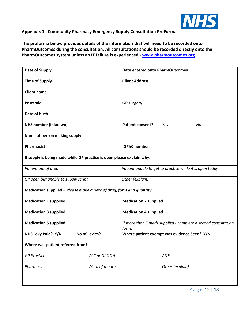

#### **Appendix 1. Community Pharmacy Emergency Supply Consultation ProForma**

**The proforma below provides details of the information that will need to be recorded onto PharmOutcomes during the consultation. All consultations should be recorded directly onto the PharmOutcomes system unless an IT failure is experienced - [www.pharmoutcomes.org](http://www.pharmoutcomes.org/)**

| Date of Supply                                                        |  |                                             |                                                                        | Date entered onto PharmOutcomes                          |                 |    |  |  |
|-----------------------------------------------------------------------|--|---------------------------------------------|------------------------------------------------------------------------|----------------------------------------------------------|-----------------|----|--|--|
| <b>Time of Supply</b>                                                 |  |                                             | <b>Client Address</b>                                                  |                                                          |                 |    |  |  |
| <b>Client name</b>                                                    |  |                                             |                                                                        |                                                          |                 |    |  |  |
| <b>Postcode</b>                                                       |  |                                             | <b>GP surgery</b>                                                      |                                                          |                 |    |  |  |
| Date of birth                                                         |  |                                             |                                                                        |                                                          |                 |    |  |  |
| NHS number (if known)                                                 |  |                                             | Patient consent?                                                       | Yes                                                      |                 | No |  |  |
| Name of person making supply:                                         |  |                                             |                                                                        |                                                          |                 |    |  |  |
| <b>Pharmacist</b>                                                     |  |                                             | <b>GPhC number</b>                                                     |                                                          |                 |    |  |  |
| If supply is being made while GP practice is open please explain why: |  |                                             |                                                                        |                                                          |                 |    |  |  |
| Patient out of area                                                   |  |                                             |                                                                        | Patient unable to get to practice while it is open today |                 |    |  |  |
| GP open but unable to supply script                                   |  |                                             | Other (explain)                                                        |                                                          |                 |    |  |  |
| Medication supplied - Please make a note of drug, form and quantity.  |  |                                             |                                                                        |                                                          |                 |    |  |  |
| <b>Medication 1 supplied</b>                                          |  | <b>Medication 2 supplied</b>                |                                                                        |                                                          |                 |    |  |  |
| <b>Medication 3 supplied</b>                                          |  | <b>Medication 4 supplied</b>                |                                                                        |                                                          |                 |    |  |  |
| <b>Medication 5 supplied</b>                                          |  |                                             | If more than 5 meds supplied - complete a second consultation<br>form. |                                                          |                 |    |  |  |
| NHS Levy Paid? Y/N<br>No of Levies?                                   |  | Where patient exempt was evidence Seen? Y/N |                                                                        |                                                          |                 |    |  |  |
| Where was patient referred from?                                      |  |                                             |                                                                        |                                                          |                 |    |  |  |
| <b>GP Practice</b>                                                    |  | WIC or GPOOH                                |                                                                        | A&E                                                      |                 |    |  |  |
| Pharmacy                                                              |  | Word of mouth                               |                                                                        |                                                          | Other (explain) |    |  |  |
|                                                                       |  |                                             |                                                                        |                                                          |                 |    |  |  |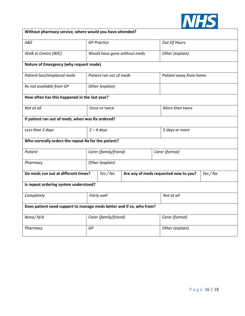

| Without pharmacy service, where would you have attended?             |                         |                 |                                       |                 |                        |          |  |  |
|----------------------------------------------------------------------|-------------------------|-----------------|---------------------------------------|-----------------|------------------------|----------|--|--|
| A&E                                                                  | <b>GP Practice</b>      |                 |                                       |                 | Out Of Hours           |          |  |  |
| Walk in Centre (WIC)                                                 |                         |                 | Would have gone without meds          |                 | Other (explain)        |          |  |  |
| Nature of Emergency (why request made)                               |                         |                 |                                       |                 |                        |          |  |  |
| Patient lost/misplaced meds                                          | Patient ran out of meds |                 |                                       |                 | Patient away from home |          |  |  |
| Rx not available from GP                                             |                         | Other (explain) |                                       |                 |                        |          |  |  |
| How often has this happened in the last year?                        |                         |                 |                                       |                 |                        |          |  |  |
| Not at all                                                           | Once or twice           |                 |                                       | More than twice |                        |          |  |  |
| If patient ran out of meds, when was Rx ordered?                     |                         |                 |                                       |                 |                        |          |  |  |
| Less than 2 days                                                     |                         | $2 - 4$ days    |                                       |                 | 5 days or more         |          |  |  |
| Who normally orders the repeat Rx for the patient?                   |                         |                 |                                       |                 |                        |          |  |  |
| Patient                                                              | Carer (family/friend)   |                 |                                       |                 | Carer (formal)         |          |  |  |
| Pharmacy                                                             | Other (explain)         |                 |                                       |                 |                        |          |  |  |
| Do meds run out at different times?                                  |                         | Yes / No        | Are any of meds requested new to you? |                 |                        | Yes / No |  |  |
| Is repeat ordering system understood?                                |                         |                 |                                       |                 |                        |          |  |  |
| Completely                                                           | Fairly well             |                 |                                       | Not at all      |                        |          |  |  |
| Does patient need support to manage meds better and if so, who from? |                         |                 |                                       |                 |                        |          |  |  |
| None/N/A                                                             | Carer (family/friend)   |                 |                                       |                 | Carer (formal)         |          |  |  |
| Pharmacy                                                             | GP                      |                 |                                       | Other (explain) |                        |          |  |  |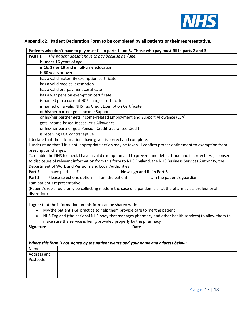

| Patients who don't have to pay must fill in parts 1 and 3. Those who pay must fill in parts 2 and 3. |                                                                          |                                |                                         |                                                                                      |                             |  |                                                                                                                  |  |
|------------------------------------------------------------------------------------------------------|--------------------------------------------------------------------------|--------------------------------|-----------------------------------------|--------------------------------------------------------------------------------------|-----------------------------|--|------------------------------------------------------------------------------------------------------------------|--|
|                                                                                                      | The patient doesn't have to pay because he / she:<br>PART <sub>1</sub>   |                                |                                         |                                                                                      |                             |  |                                                                                                                  |  |
|                                                                                                      | is under 16 years of age                                                 |                                |                                         |                                                                                      |                             |  |                                                                                                                  |  |
|                                                                                                      | is 16, 17 or 18 and in full-time education                               |                                |                                         |                                                                                      |                             |  |                                                                                                                  |  |
|                                                                                                      | is 60 years or over                                                      |                                |                                         |                                                                                      |                             |  |                                                                                                                  |  |
|                                                                                                      | has a valid maternity exemption certificate                              |                                |                                         |                                                                                      |                             |  |                                                                                                                  |  |
|                                                                                                      |                                                                          | has a valid medical exemption  |                                         |                                                                                      |                             |  |                                                                                                                  |  |
|                                                                                                      | has a valid pre-payment certificate                                      |                                |                                         |                                                                                      |                             |  |                                                                                                                  |  |
|                                                                                                      | has a war pension exemption certificate                                  |                                |                                         |                                                                                      |                             |  |                                                                                                                  |  |
|                                                                                                      |                                                                          |                                |                                         | is named pm a current HC2 charges certificate                                        |                             |  |                                                                                                                  |  |
|                                                                                                      |                                                                          |                                |                                         | is named on a valid NHS Tax Credit Exemption Certificate                             |                             |  |                                                                                                                  |  |
|                                                                                                      |                                                                          |                                | or his/her partner gets Income Support  |                                                                                      |                             |  |                                                                                                                  |  |
|                                                                                                      |                                                                          |                                |                                         | or his/her partner gets income-related Employment and Support Allowance (ESA)        |                             |  |                                                                                                                  |  |
|                                                                                                      |                                                                          |                                | gets income-based Jobseeker's Allowance |                                                                                      |                             |  |                                                                                                                  |  |
|                                                                                                      |                                                                          |                                |                                         | or his/her partner gets Pension Credit Guarantee Credit                              |                             |  |                                                                                                                  |  |
|                                                                                                      |                                                                          | is receiving FOC contraceptive |                                         |                                                                                      |                             |  |                                                                                                                  |  |
|                                                                                                      |                                                                          |                                |                                         | I declare that the information I have given is correct and complete.                 |                             |  |                                                                                                                  |  |
|                                                                                                      |                                                                          |                                |                                         |                                                                                      |                             |  | I understand that if it is not, appropriate action may be taken. I confirm proper entitlement to exemption from  |  |
|                                                                                                      |                                                                          | prescription charges.          |                                         |                                                                                      |                             |  |                                                                                                                  |  |
|                                                                                                      |                                                                          |                                |                                         |                                                                                      |                             |  | To enable the NHS to check I have a valid exemption and to prevent and detect fraud and incorrectness, I consent |  |
|                                                                                                      |                                                                          |                                |                                         |                                                                                      |                             |  | to disclosure of relevant information from this form to NHS England, the NHS Business Services Authority, the    |  |
|                                                                                                      |                                                                          |                                |                                         | Department of Work and Pensions and Local Authorities                                |                             |  |                                                                                                                  |  |
| Part 2                                                                                               |                                                                          | I have paid                    | $\pmb{\mathsf{f}}$                      |                                                                                      | Now sign and fill in Part 3 |  |                                                                                                                  |  |
| Part 3                                                                                               |                                                                          | Please select one option       |                                         | I am the patient                                                                     |                             |  | I am the patient's guardian                                                                                      |  |
|                                                                                                      |                                                                          | I am patient's representative  |                                         |                                                                                      |                             |  |                                                                                                                  |  |
|                                                                                                      |                                                                          |                                |                                         |                                                                                      |                             |  | (Patient's rep should only be collecting meds In the case of a pandemic or at the pharmacists professional       |  |
| discretion)                                                                                          |                                                                          |                                |                                         |                                                                                      |                             |  |                                                                                                                  |  |
|                                                                                                      |                                                                          |                                |                                         |                                                                                      |                             |  |                                                                                                                  |  |
|                                                                                                      |                                                                          |                                |                                         | I agree that the information on this form can be shared with:                        |                             |  |                                                                                                                  |  |
|                                                                                                      | My/the patient's GP practice to help them provide care to me/the patient |                                |                                         |                                                                                      |                             |  |                                                                                                                  |  |
| NHS England (the national NHS body that manages pharmacy and other health services) to allow them to |                                                                          |                                |                                         |                                                                                      |                             |  |                                                                                                                  |  |
| make sure the service is being provided properly by the pharmacy                                     |                                                                          |                                |                                         |                                                                                      |                             |  |                                                                                                                  |  |
| Signature                                                                                            |                                                                          |                                |                                         |                                                                                      | Date                        |  |                                                                                                                  |  |
|                                                                                                      |                                                                          |                                |                                         |                                                                                      |                             |  |                                                                                                                  |  |
|                                                                                                      |                                                                          |                                |                                         |                                                                                      |                             |  |                                                                                                                  |  |
|                                                                                                      |                                                                          |                                |                                         | Where this form is not signed by the patient please add your name and address below: |                             |  |                                                                                                                  |  |
| Name                                                                                                 |                                                                          |                                |                                         |                                                                                      |                             |  |                                                                                                                  |  |
| Address and                                                                                          |                                                                          |                                |                                         |                                                                                      |                             |  |                                                                                                                  |  |
| Postcode                                                                                             |                                                                          |                                |                                         |                                                                                      |                             |  |                                                                                                                  |  |
|                                                                                                      |                                                                          |                                |                                         |                                                                                      |                             |  |                                                                                                                  |  |
|                                                                                                      |                                                                          |                                |                                         |                                                                                      |                             |  |                                                                                                                  |  |
|                                                                                                      |                                                                          |                                |                                         |                                                                                      |                             |  |                                                                                                                  |  |

#### **Appendix 2. Patient Declaration Form to be completed by all patients or their representative.**